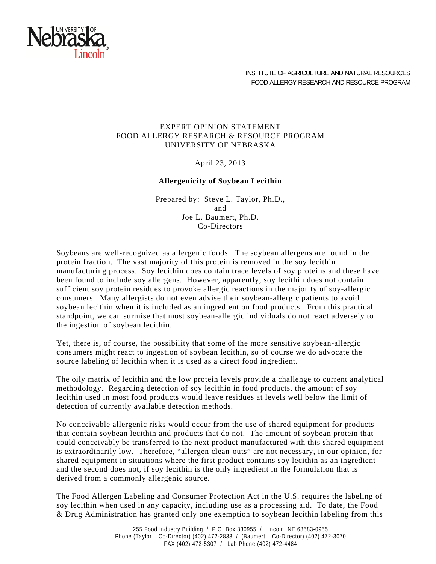

INSTITUTE OF AGRICULTURE AND NATURAL RESOURCES FOOD ALLERGY RESEARCH AND RESOURCE PROGRAM

## EXPERT OPINION STATEMENT FOOD ALLERGY RESEARCH & RESOURCE PROGRAM UNIVERSITY OF NEBRASKA

April 23, 2013

## **Allergenicity of Soybean Lecithin**

Prepared by: Steve L. Taylor, Ph.D., and Joe L. Baumert, Ph.D. Co-Directors

Soybeans are well-recognized as allergenic foods. The soybean allergens are found in the protein fraction. The vast majority of this protein is removed in the soy lecithin manufacturing process. Soy lecithin does contain trace levels of soy proteins and these have been found to include soy allergens. However, apparently, soy lecithin does not contain sufficient soy protein residues to provoke allergic reactions in the majority of soy-allergic consumers. Many allergists do not even advise their soybean-allergic patients to avoid soybean lecithin when it is included as an ingredient on food products. From this practical standpoint, we can surmise that most soybean-allergic individuals do not react adversely to the ingestion of soybean lecithin.

Yet, there is, of course, the possibility that some of the more sensitive soybean-allergic consumers might react to ingestion of soybean lecithin, so of course we do advocate the source labeling of lecithin when it is used as a direct food ingredient.

The oily matrix of lecithin and the low protein levels provide a challenge to current analytical methodology. Regarding detection of soy lecithin in food products, the amount of soy lecithin used in most food products would leave residues at levels well below the limit of detection of currently available detection methods.

No conceivable allergenic risks would occur from the use of shared equipment for products that contain soybean lecithin and products that do not. The amount of soybean protein that could conceivably be transferred to the next product manufactured with this shared equipment is extraordinarily low. Therefore, "allergen clean-outs" are not necessary, in our opinion, for shared equipment in situations where the first product contains soy lecithin as an ingredient and the second does not, if soy lecithin is the only ingredient in the formulation that is derived from a commonly allergenic source.

The Food Allergen Labeling and Consumer Protection Act in the U.S. requires the labeling of soy lecithin when used in any capacity, including use as a processing aid. To date, the Food & Drug Administration has granted only one exemption to soybean lecithin labeling from this